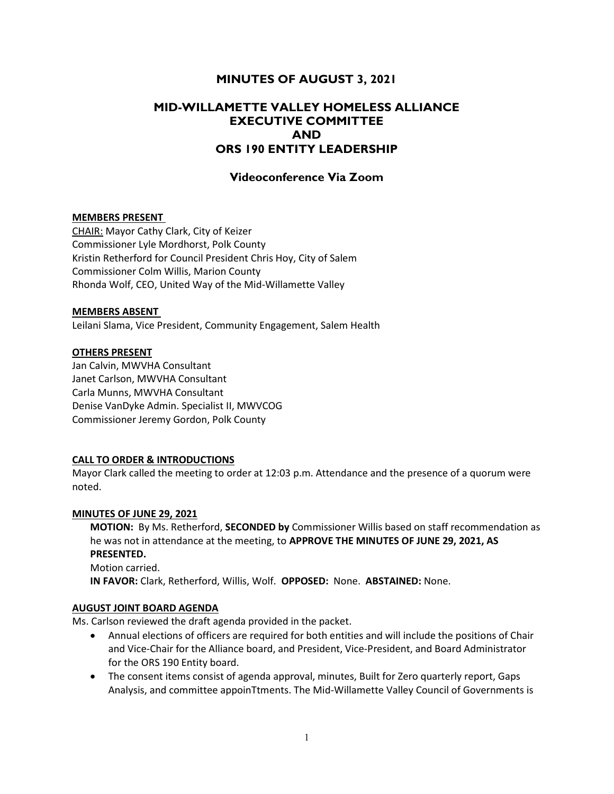# MINUTES OF AUGUST 3, 2021

# MID-WILLAMETTE VALLEY HOMELESS ALLIANCE EXECUTIVE COMMITTEE AND ORS 190 ENTITY LEADERSHIP

# Videoconference Via Zoom

### MEMBERS PRESENT

CHAIR: Mayor Cathy Clark, City of Keizer Commissioner Lyle Mordhorst, Polk County Kristin Retherford for Council President Chris Hoy, City of Salem Commissioner Colm Willis, Marion County Rhonda Wolf, CEO, United Way of the Mid-Willamette Valley

#### MEMBERS ABSENT

Leilani Slama, Vice President, Community Engagement, Salem Health

#### OTHERS PRESENT

Jan Calvin, MWVHA Consultant Janet Carlson, MWVHA Consultant Carla Munns, MWVHA Consultant Denise VanDyke Admin. Specialist II, MWVCOG Commissioner Jeremy Gordon, Polk County

#### CALL TO ORDER & INTRODUCTIONS

Mayor Clark called the meeting to order at 12:03 p.m. Attendance and the presence of a quorum were noted.

#### MINUTES OF JUNE 29, 2021

**MOTION:** By Ms. Retherford, **SECONDED by** Commissioner Willis based on staff recommendation as he was not in attendance at the meeting, to APPROVE THE MINUTES OF JUNE 29, 2021, AS PRESENTED.

Motion carried. IN FAVOR: Clark, Retherford, Willis, Wolf. OPPOSED: None. ABSTAINED: None.

#### AUGUST JOINT BOARD AGENDA

Ms. Carlson reviewed the draft agenda provided in the packet.

- Annual elections of officers are required for both entities and will include the positions of Chair and Vice-Chair for the Alliance board, and President, Vice-President, and Board Administrator for the ORS 190 Entity board.
- The consent items consist of agenda approval, minutes, Built for Zero quarterly report, Gaps Analysis, and committee appoinTtments. The Mid-Willamette Valley Council of Governments is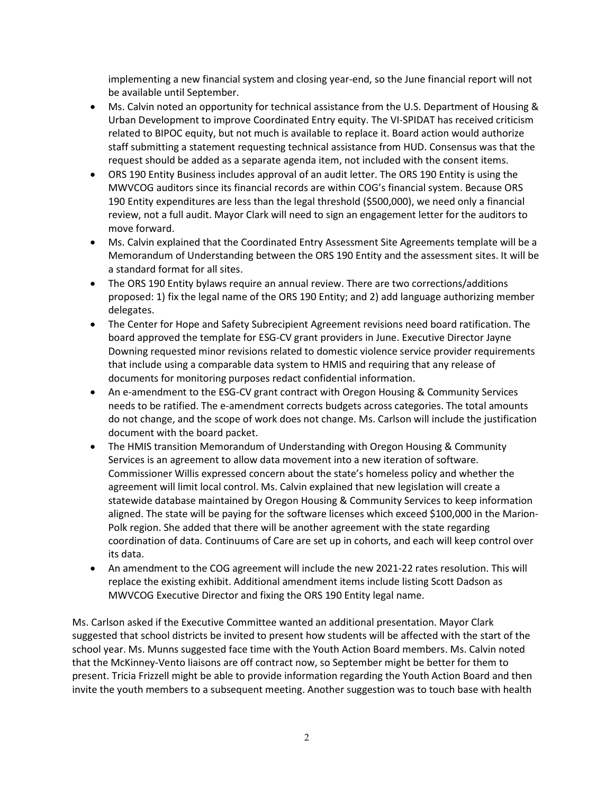implementing a new financial system and closing year-end, so the June financial report will not be available until September.

- Ms. Calvin noted an opportunity for technical assistance from the U.S. Department of Housing & Urban Development to improve Coordinated Entry equity. The VI-SPIDAT has received criticism related to BIPOC equity, but not much is available to replace it. Board action would authorize staff submitting a statement requesting technical assistance from HUD. Consensus was that the request should be added as a separate agenda item, not included with the consent items.
- ORS 190 Entity Business includes approval of an audit letter. The ORS 190 Entity is using the MWVCOG auditors since its financial records are within COG's financial system. Because ORS 190 Entity expenditures are less than the legal threshold (\$500,000), we need only a financial review, not a full audit. Mayor Clark will need to sign an engagement letter for the auditors to move forward.
- Ms. Calvin explained that the Coordinated Entry Assessment Site Agreements template will be a Memorandum of Understanding between the ORS 190 Entity and the assessment sites. It will be a standard format for all sites.
- The ORS 190 Entity bylaws require an annual review. There are two corrections/additions proposed: 1) fix the legal name of the ORS 190 Entity; and 2) add language authorizing member delegates.
- The Center for Hope and Safety Subrecipient Agreement revisions need board ratification. The board approved the template for ESG-CV grant providers in June. Executive Director Jayne Downing requested minor revisions related to domestic violence service provider requirements that include using a comparable data system to HMIS and requiring that any release of documents for monitoring purposes redact confidential information.
- An e-amendment to the ESG-CV grant contract with Oregon Housing & Community Services needs to be ratified. The e-amendment corrects budgets across categories. The total amounts do not change, and the scope of work does not change. Ms. Carlson will include the justification document with the board packet.
- The HMIS transition Memorandum of Understanding with Oregon Housing & Community Services is an agreement to allow data movement into a new iteration of software. Commissioner Willis expressed concern about the state's homeless policy and whether the agreement will limit local control. Ms. Calvin explained that new legislation will create a statewide database maintained by Oregon Housing & Community Services to keep information aligned. The state will be paying for the software licenses which exceed \$100,000 in the Marion-Polk region. She added that there will be another agreement with the state regarding coordination of data. Continuums of Care are set up in cohorts, and each will keep control over its data.
- An amendment to the COG agreement will include the new 2021-22 rates resolution. This will replace the existing exhibit. Additional amendment items include listing Scott Dadson as MWVCOG Executive Director and fixing the ORS 190 Entity legal name.

Ms. Carlson asked if the Executive Committee wanted an additional presentation. Mayor Clark suggested that school districts be invited to present how students will be affected with the start of the school year. Ms. Munns suggested face time with the Youth Action Board members. Ms. Calvin noted that the McKinney-Vento liaisons are off contract now, so September might be better for them to present. Tricia Frizzell might be able to provide information regarding the Youth Action Board and then invite the youth members to a subsequent meeting. Another suggestion was to touch base with health